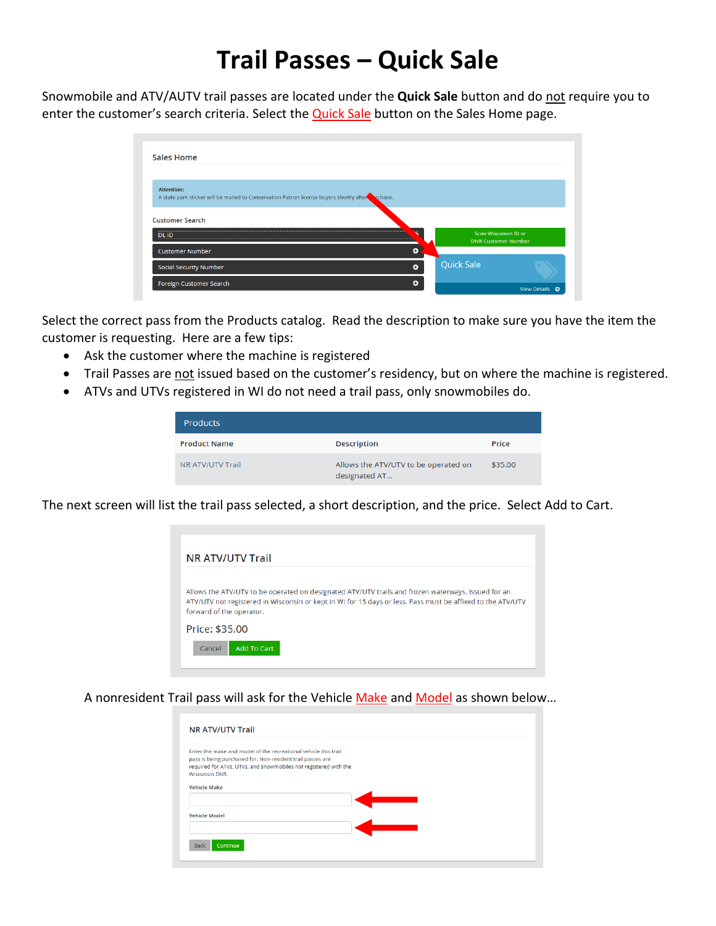## **Trail Passes – Quick Sale**

Snowmobile and ATV/AUTV trail passes are located under the **Quick Sale** button and do not require you to enter the customer's search criteria. Select the **Quick Sale** button on the Sales Home page.

| <b>Sales Home</b>                                                                                                   |                   |                                                    |
|---------------------------------------------------------------------------------------------------------------------|-------------------|----------------------------------------------------|
|                                                                                                                     |                   |                                                    |
| <b>Attention:</b><br>A state park sticker will be mailed to Conservation Patron license buyers shortly after chase. |                   |                                                    |
| <b>Customer Search</b>                                                                                              |                   |                                                    |
| <b>DLID</b>                                                                                                         |                   | Scan Wisconsin ID or<br><b>DNR Customer Number</b> |
| ٥<br><b>Customer Number</b>                                                                                         |                   |                                                    |
| $\bullet$<br><b>Social Security Number</b>                                                                          | <b>Quick Sale</b> |                                                    |
|                                                                                                                     |                   |                                                    |

Select the correct pass from the Products catalog. Read the description to make sure you have the item the customer is requesting. Here are a few tips:

- Ask the customer where the machine is registered
- Trail Passes are not issued based on the customer's residency, but on where the machine is registered.
- ATVs and UTVs registered in WI do not need a trail pass, only snowmobiles do.

| <b>Products</b>     |                                                       |         |
|---------------------|-------------------------------------------------------|---------|
| <b>Product Name</b> | <b>Description</b>                                    | Price   |
| NR ATV/UTV Trail    | Allows the ATV/UTV to be operated on<br>designated AT | \$35.00 |

The next screen will list the trail pass selected, a short description, and the price. Select Add to Cart.



A nonresident Trail pass will ask for the Vehicle Make and Model as shown below...

| <b>NR ATV/UTV Trail</b>                                                                                                        |  |  |
|--------------------------------------------------------------------------------------------------------------------------------|--|--|
| Enter the make and model of the recreational vehicle this trail                                                                |  |  |
| pass is being purchased for. Non-resident trail passes are<br>required for ATVs, UTVs, and snowmobiles not registered with the |  |  |
| <b>Wisconsin DNR.</b>                                                                                                          |  |  |
| <b>Vehicle Make</b>                                                                                                            |  |  |
|                                                                                                                                |  |  |
|                                                                                                                                |  |  |
| <b>Vehicle Model</b>                                                                                                           |  |  |
|                                                                                                                                |  |  |
|                                                                                                                                |  |  |
| <b>Back</b><br>Continue                                                                                                        |  |  |